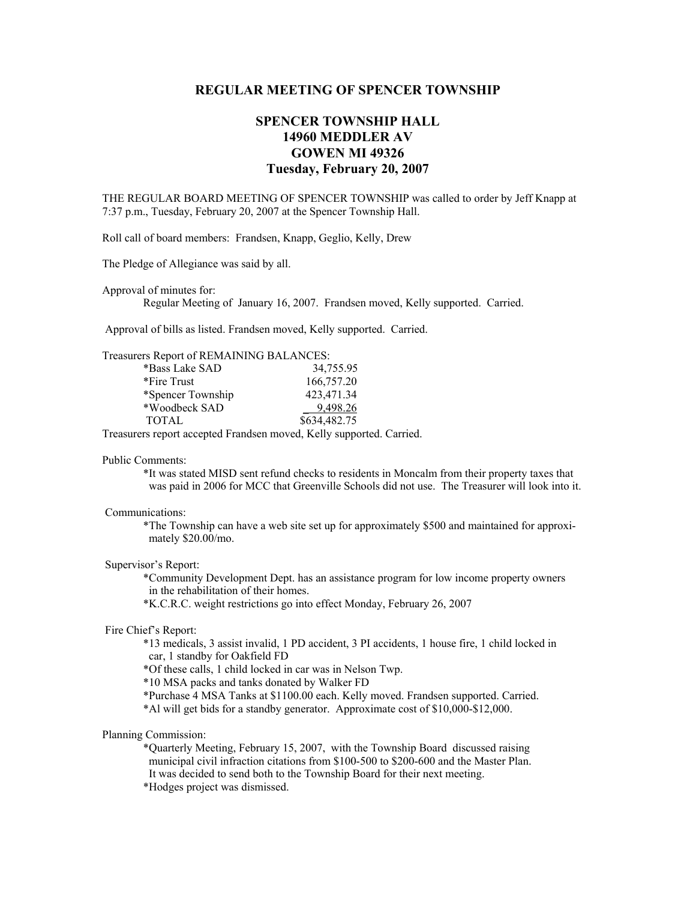# **REGULAR MEETING OF SPENCER TOWNSHIP**

# **SPENCER TOWNSHIP HALL 14960 MEDDLER AV GOWEN MI 49326 Tuesday, February 20, 2007**

THE REGULAR BOARD MEETING OF SPENCER TOWNSHIP was called to order by Jeff Knapp at 7:37 p.m., Tuesday, February 20, 2007 at the Spencer Township Hall.

Roll call of board members: Frandsen, Knapp, Geglio, Kelly, Drew

The Pledge of Allegiance was said by all.

Approval of minutes for:

Regular Meeting of January 16, 2007. Frandsen moved, Kelly supported. Carried.

Approval of bills as listed. Frandsen moved, Kelly supported. Carried.

## Treasurers Report of REMAINING BALANCES:

| *Bass Lake SAD    | 34,755.95    |
|-------------------|--------------|
| *Fire Trust       | 166,757.20   |
| *Spencer Township | 423,471.34   |
| *Woodbeck SAD     | 9,498.26     |
| <b>TOTAL</b>      | \$634,482.75 |

Treasurers report accepted Frandsen moved, Kelly supported. Carried.

#### Public Comments:

 \*It was stated MISD sent refund checks to residents in Moncalm from their property taxes that was paid in 2006 for MCC that Greenville Schools did not use. The Treasurer will look into it.

## Communications:

 \*The Township can have a web site set up for approximately \$500 and maintained for approxi mately \$20.00/mo.

## Supervisor's Report:

 \*Community Development Dept. has an assistance program for low income property owners in the rehabilitation of their homes.

\*K.C.R.C. weight restrictions go into effect Monday, February 26, 2007

#### Fire Chief's Report:

 \*13 medicals, 3 assist invalid, 1 PD accident, 3 PI accidents, 1 house fire, 1 child locked in car, 1 standby for Oakfield FD

\*Of these calls, 1 child locked in car was in Nelson Twp.

\*10 MSA packs and tanks donated by Walker FD

\*Purchase 4 MSA Tanks at \$1100.00 each. Kelly moved. Frandsen supported. Carried.

\*Al will get bids for a standby generator. Approximate cost of \$10,000-\$12,000.

## Planning Commission:

\*Quarterly Meeting, February 15, 2007, with the Township Board discussed raising municipal civil infraction citations from \$100-500 to \$200-600 and the Master Plan. It was decided to send both to the Township Board for their next meeting.

\*Hodges project was dismissed.